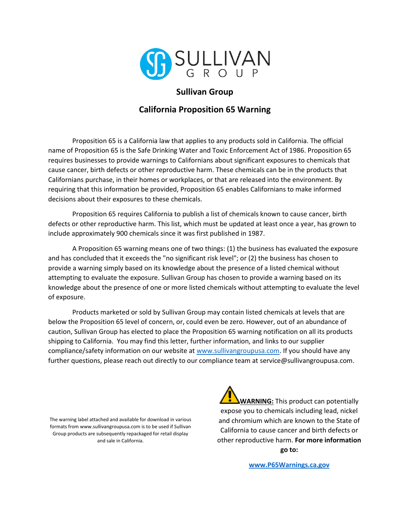

## **Sullivan Group**

## **California Proposition 65 Warning**

Proposition 65 is a California law that applies to any products sold in California. The official name of Proposition 65 is the Safe Drinking Water and Toxic Enforcement Act of 1986. Proposition 65 requires businesses to provide warnings to Californians about significant exposures to chemicals that cause cancer, birth defects or other reproductive harm. These chemicals can be in the products that Californians purchase, in their homes or workplaces, or that are released into the environment. By requiring that this information be provided, Proposition 65 enables Californians to make informed decisions about their exposures to these chemicals.

Proposition 65 requires California to publish a list of chemicals known to cause cancer, birth defects or other reproductive harm. This list, which must be updated at least once a year, has grown to include approximately 900 chemicals since it was first published in 1987.

A Proposition 65 warning means one of two things: (1) the business has evaluated the exposure and has concluded that it exceeds the "no significant risk level"; or (2) the business has chosen to provide a warning simply based on its knowledge about the presence of a listed chemical without attempting to evaluate the exposure. Sullivan Group has chosen to provide a warning based on its knowledge about the presence of one or more listed chemicals without attempting to evaluate the level of exposure.

Products marketed or sold by Sullivan Group may contain listed chemicals at levels that are below the Proposition 65 level of concern, or, could even be zero. However, out of an abundance of caution, Sullivan Group has elected to place the Proposition 65 warning notification on all its products shipping to California. You may find this letter, further information, and links to our supplier compliance/safety information on our website a[t www.sullivangroupusa.com.](http://www.sullivangroupusa.com/) If you should have any further questions, please reach out directly to our compliance team at service@sullivangroupusa.com.

The warning label attached and available for download in various formats from www.sullivangroupusa.com is to be used if Sullivan Group products are subsequently repackaged for retail display and sale in California.

**WARNING:** This product can potentially expose you to chemicals including lead, nickel and chromium which are known to the State of California to cause cancer and birth defects or other reproductive harm. **For more information go to:**

**[www.P65Warnings.ca.gov](http://www.p65warnings.ca.gov/)**